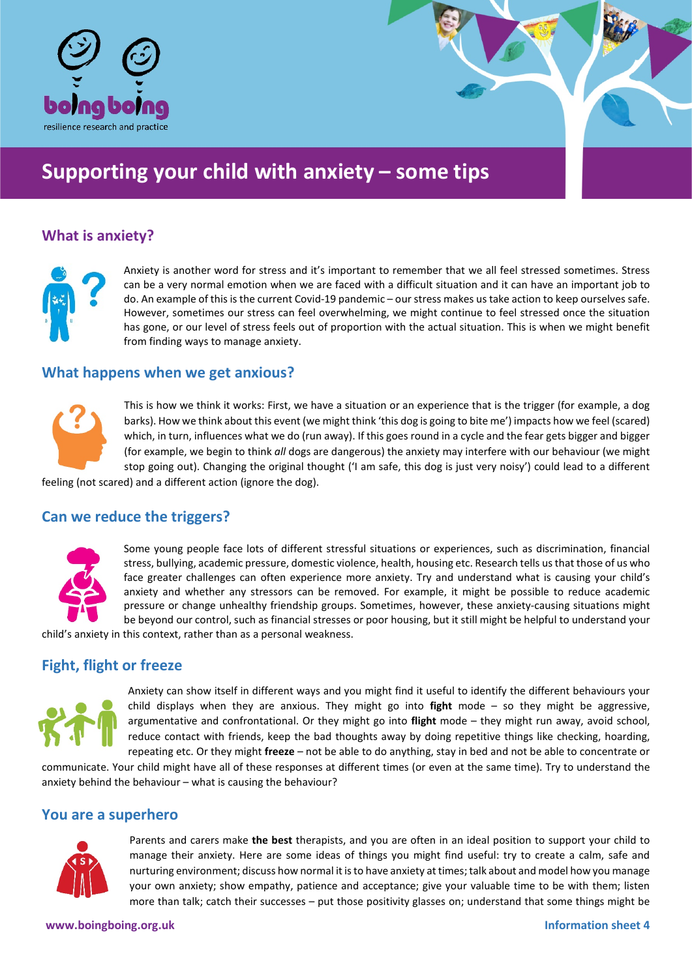

# **Supporting your child with anxiety – some tips**

# **What is anxiety?**



Anxiety is another word for stress and it's important to remember that we all feel stressed sometimes. Stress can be a very normal emotion when we are faced with a difficult situation and it can have an important job to do. An example of this is the current Covid-19 pandemic – our stress makes us take action to keep ourselves safe. However, sometimes our stress can feel overwhelming, we might continue to feel stressed once the situation has gone, or our level of stress feels out of proportion with the actual situation. This is when we might benefit from finding ways to manage anxiety.

#### **What happens when we get anxious?**



This is how we think it works: First, we have a situation or an experience that is the trigger (for example, a dog barks). How we think about this event (we might think 'this dog is going to bite me') impacts how we feel (scared) which, in turn, influences what we do (run away). If this goes round in a cycle and the fear gets bigger and bigger (for example, we begin to think *all* dogs are dangerous) the anxiety may interfere with our behaviour (we might stop going out). Changing the original thought ('I am safe, this dog is just very noisy') could lead to a different

feeling (not scared) and a different action (ignore the dog).

# **Can we reduce the triggers?**



Some young people face lots of different stressful situations or experiences, such as discrimination, financial stress, bullying, academic pressure, domestic violence, health, housing etc. Research tells us that those of us who face greater challenges can often experience more anxiety. Try and understand what is causing your child's anxiety and whether any stressors can be removed. For example, it might be possible to reduce academic pressure or change unhealthy friendship groups. Sometimes, however, these anxiety-causing situations might be beyond our control, such as financial stresses or poor housing, but it still might be helpful to understand your

child's anxiety in this context, rather than as a personal weakness.

## **Fight, flight or freeze**



Anxiety can show itself in different ways and you might find it useful to identify the different behaviours your child displays when they are anxious. They might go into **fight** mode – so they might be aggressive, argumentative and confrontational. Or they might go into **flight** mode – they might run away, avoid school, reduce contact with friends, keep the bad thoughts away by doing repetitive things like checking, hoarding, repeating etc. Or they might **freeze** – not be able to do anything, stay in bed and not be able to concentrate or

communicate. Your child might have all of these responses at different times (or even at the same time). Try to understand the anxiety behind the behaviour – what is causing the behaviour?

#### **You are a superhero**



Parents and carers make **the best** therapists, and you are often in an ideal position to support your child to manage their anxiety. Here are some ideas of things you might find useful: try to create a calm, safe and nurturing environment; discuss how normal it is to have anxiety at times;talk about and model how you manage your own anxiety; show empathy, patience and acceptance; give your valuable time to be with them; listen more than talk; catch their successes – put those positivity glasses on; understand that some things might be